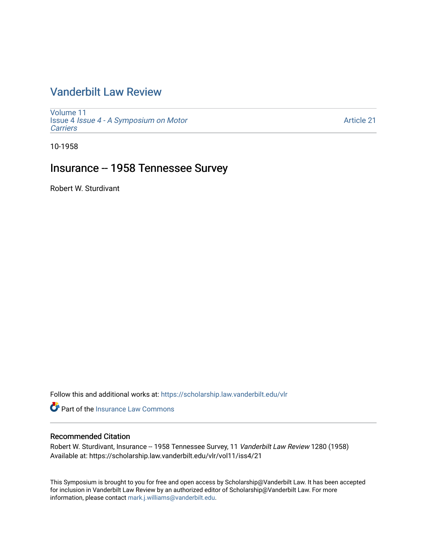# [Vanderbilt Law Review](https://scholarship.law.vanderbilt.edu/vlr)

[Volume 11](https://scholarship.law.vanderbilt.edu/vlr/vol11) Issue 4 [Issue 4 - A Symposium on Motor](https://scholarship.law.vanderbilt.edu/vlr/vol11/iss4) **[Carriers](https://scholarship.law.vanderbilt.edu/vlr/vol11/iss4)** 

[Article 21](https://scholarship.law.vanderbilt.edu/vlr/vol11/iss4/21) 

10-1958

# Insurance -- 1958 Tennessee Survey

Robert W. Sturdivant

Follow this and additional works at: [https://scholarship.law.vanderbilt.edu/vlr](https://scholarship.law.vanderbilt.edu/vlr?utm_source=scholarship.law.vanderbilt.edu%2Fvlr%2Fvol11%2Fiss4%2F21&utm_medium=PDF&utm_campaign=PDFCoverPages)

**C** Part of the [Insurance Law Commons](http://network.bepress.com/hgg/discipline/607?utm_source=scholarship.law.vanderbilt.edu%2Fvlr%2Fvol11%2Fiss4%2F21&utm_medium=PDF&utm_campaign=PDFCoverPages)

# Recommended Citation

Robert W. Sturdivant, Insurance -- 1958 Tennessee Survey, 11 Vanderbilt Law Review 1280 (1958) Available at: https://scholarship.law.vanderbilt.edu/vlr/vol11/iss4/21

This Symposium is brought to you for free and open access by Scholarship@Vanderbilt Law. It has been accepted for inclusion in Vanderbilt Law Review by an authorized editor of Scholarship@Vanderbilt Law. For more information, please contact [mark.j.williams@vanderbilt.edu](mailto:mark.j.williams@vanderbilt.edu).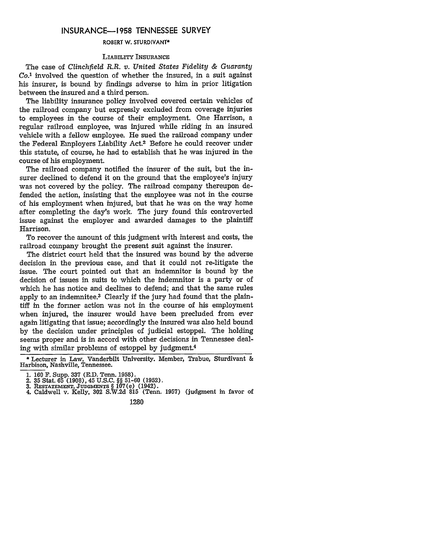## **INSURANCE-1958 TENNESSEE** SURVEY

### **ROBERT W. STURDIVANT\***

#### LIABILITY INSURANCE

The case of *Clinchfield R.R. v. United States Fidelity & Guaranty Co.'* involved the question of whether the insured, in a suit against his insurer, is bound by findings adverse to him in prior litigation between the insured and a third person.

The liability insurance policy involved covered certain vehicles of the railroad company but expressly excluded from coverage injuries to employees in the course of their employment. One Harrison, a regular railroad employee, was injured while riding in an insured vehicle with a fellow employee. He sued the railroad company under the Federal Employers Liability Act.2 Before he could recover under this statute, of course, he had to establish that he was injured in the course of his employment.

The railroad company notified the insurer of the suit, but the insurer declined to defend it on the ground that the employee's injury was not covered by the policy. The railroad company thereupon defended the action, insisting that the employee was not in the course of his employment when injured, but that he was on the way home after completing the day's work. The jury found this controverted issue against the employer and awarded damages to the plaintiff Harrison.

To recover the amount of this judgment with interest and costs, the railroad company brought the present suit against the insurer.

The district court held that the insured was bound by the adverse decision in the previous case, and that it could not re-litigate the issue. The court pointed out that an indemnitor is bound by the decision of issues in suits to which the indemnitor is a party or of which he has notice and declines to defend; and that the same rules apply to an indemnitee.3 Clearly if the jury had found that the plaintiff in the former action was not in the course of his employment when injured, the insurer would have been precluded from ever again litigating that issue; accordingly the insured was also held bound by the decision under principles of judicial estoppel. The holding seems proper and is in accord with other decisions in Tennessee dealing with similar problems of estoppel by judgment.4

<sup>\*</sup> Lecturer in Law, Vanderbilt University. Member, Trabue, Sturdivant & Harbison, Nashville, Tennessee.

**<sup>1.</sup>** 160 F. Supp. **337** (E.D. Tenn. 1958).

<sup>2.</sup> **35** Stat. **65** (1908), 45 U.S.C. §§ **51-60 (1952).**

**<sup>3.</sup> RESTATEMENT, JUDGMENTS** § 107(e) (1942). 4. Caldwell **v.** Kelly, **302 S.W.2d 815 (Tenn. 1957)** (judgment in **favor of**

**<sup>1280</sup>**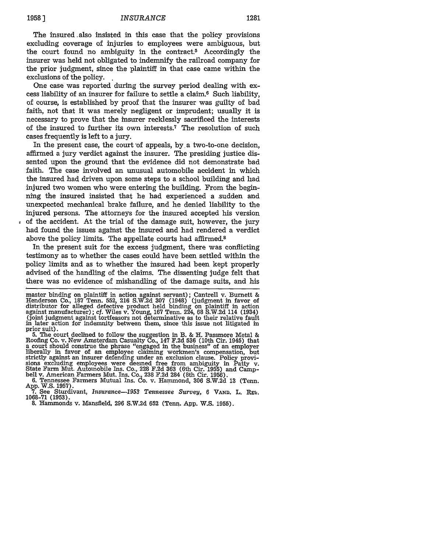The insured .also insisted in this case that the policy provisions excluding coverage of injuries to employees were ambiguous, but the court found no ambiguity in the contract.5 Accordingly the insurer was held not obligated to indemnify the railroad company for the prior judgment, since the plaintiff in that case came within the exclusions of the policy. **,**

One case was reported during the survey period dealing with excess liability of an insurer for failure to settle a claim.6 Such liability, of course, is established by proof that the insurer was guilty of bad faith, not that it was merely negligent or imprudent; usually it is necessary to prove that the insurer recklessly sacrificed the interests of the insured to further its own interests.7 The resolution of such cases frequently is left to a jury.

In the present case, the court \*of appeals, **by.** a two-to-one decision, affirmed a jury verdict against the insurer. The presiding justice dissented upon the ground that the evidence did not demonstrate bad faith. The case involved an unusual automobile accident in which the insured had driven upon some steps to a school building and had injured two women who were entering the building. From the beginning the insured insisted that he had experienced a sudden and unexpected mechanical brake failure, and he denied liability to the injured persons. The attorneys for the insured accepted his version of the accident. At the trial of the damage suit, however, the jury had found the issues against the insured and had rendered a verdict above the policy limits. The appellate courts had affirmed.8

In the present suit for the excess judgment, there was conflicting testimony as to whether the cases could have been settled within the policy limits and as to whether the insured had been kept properly advised of the handling of the claims. The dissenting judge felt that there was no evidence of mishandling of the damage suits, and his

Roofing Co. v. New Amsterdam Casualty Co., 147 F.2d 536 (10th Cir. 1945) that a court should construe the phrase "engaged in the business" of an employer liberally in favor of an employee claiming workmen's compensation, but strictly against an insurer defending under an exclusion clause. Policy provi- sions excluding employees were deemed free from ambiguity in Patty v.

State Farm Mut. Automobile Ins. Co., 228 F.2d 363 (6th Cir. 1955) and Camp-<br>bell v. American Farmers Mut. Ins. Co., 238 F.2d 363 (6th Cir. 1955) and Camp-<br>bell v. American Farmers Mutual Ins. Co. v. Hammond, 306 S.W.2d 13

**1068-71 (1957). 1068-71 (1957). 8. 8. PostMan:** *Resumence*-1953 Tennessee Survey, 6 VAND. L. Rev. 1068-71 (1953). **8. Hammonds v. Mansfield, 296 S.W.2d 652 (Tenn. App. W.S. 1955).** 

master binding on plaintiff in action against servant); Cantrell v. Burnett & Henderson Co., 187 Tenn. 552, 216 S.W.2d 307 (1948) (judgment in favor of distributor for alleged defective product held binding on plaintiff in action<br>against manufacturer); cf. Wiles v. Young, 167 Tenn. 224, 68 S.W.2d 114 (1934)<br>(joint judgment against tortfeasors not determinative as to their (joint judgment against tortfeasors not determinative as to their relative fault in later action for indemnity between them, since this issue not litigated in prior suit). prior suit).<br>5. The court declined to follow the suggestion in B. & H. Passmore Metal &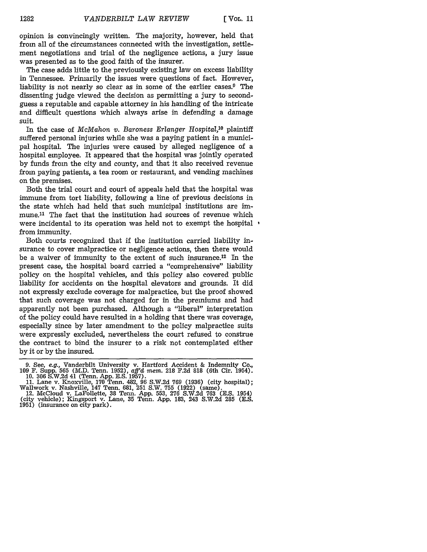opinion is convincingly written. The majority, however, held that from all of the circumstances connected with the investigation, settlement negotiations and trial of the negligence actions, a jury issue was presented as to the good faith of the insurer.

The case adds little to the previously existing law on excess liability in Tennessee. Primarily the issues were questions of fact. However, liability is not nearly so clear as in some of the earlier cases.9 The dissenting judge viewed the decision as permitting a jury to secondguess a reputable and capable attorney in his handling of the intricate and difficult questions which always arise in defending a damage suit.

In the case of *McMahon v. Baroness Erlanger Hospital,0* plaintiff suffered personal injuries while she was a paying patient in a municipal hospital. The injuries were caused by alleged negligence of a hospital employee. It appeared that the hospital was jointly operated by funds from the city and county, and that it also received revenue from paying patients, a tea room or restaurant, and vending machines on the premises.

Both the trial court and court of appeals held that the hospital was immune from tort liability, following a line of previous decisions in the state which had held that such municipal institutions are immune.<sup>11</sup> The fact that the institution had sources of revenue which were incidental to its operation was held not to exempt the hospital  $\cdot$ from immunity.

Both courts recognized that if the institution carried liability insurance to cover malpractice or negligence actions, then there would be a waiver of immunity to the extent of such insurance.12 In the present case, the hospital board carried a "comprehensive" liability policy on the hospital vehicles, and this policy also covered public liability for accidents on the hospital elevators and grounds. It did not expressly exclude coverage for malpractice, but the proof showed that such coverage was not charged for in the premiums and had apparently not been purchased. Although a "liberal" interpretation of the policy could have resulted in a holding that there was coverage, especially since **by** later amendment to the policy malpractice suits were expressly excluded, nevertheless the court refused to construe the contract to bind the insurer to a risk not contemplated either **by** it or **by** the insured.

**<sup>9.</sup>** See, e.g., Vanderbilt University v. Hartford Accident & Indemnity Co.,

<sup>109</sup> F. Supp. 565 (M.D. Tenn. 1952), aff'd mem. 218 F.2d 818 (6th Cir. 1954)<br>10. 306 S.W.2d 41 (Tenn. App. E.S. 1957).<br>11. Lane v. Knoxville, 170 Tenn. 482, 96 S.W.2d 769 (1936) (city hospital);<br>Wallwork v. Nashville, 147 T

**<sup>1951)</sup>** (insurance on city park).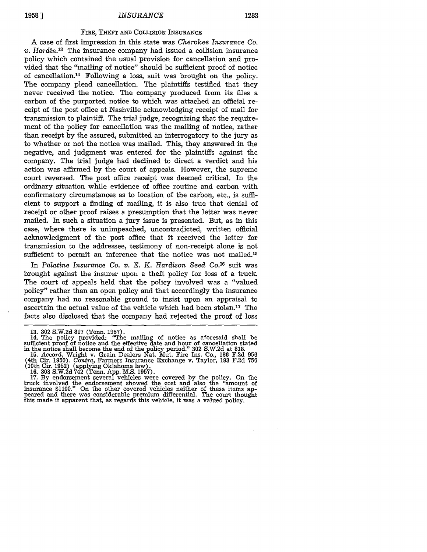# *INSURANCE* **1958 ] 1283**

#### FIRE, THEFT AND COLLISION INSURANCE

A case of first impression in this state was *Cherokee Insurance Co. v. Hardin.13* The insurance company had issued a collision insurance policy which contained the usual provision for cancellation and provided that the "mailing of notice" should be sufficient proof of notice of cancellation. 14 Following a loss, suit was brought on the policy. The company plead cancellation. The plaintiffs testified that they never received the notice. The company produced from its files a carbon of the purported notice to which was attached an official receipt of the post office at Nashville acknowledging receipt of mail for transmission to plaintiff. The trial judge, recognizing that the requirement of the policy for cancellation was the mailing of notice, rather than receipt by the assured, submitted an interrogatory to the jury as to whether or not the notice was mailed. This, they answered in the negative, and judgment was entered for the plaintiffs against the company. The trial judge had declined to direct a verdict and his action was affirmed by the court of appeals. However, the supreme court reversed. The post office receipt was deemed critical. In the ordinary situation while evidence of office routine and carbon with confirmatory circumstances as to location of the carbon, etc., is sufficient to support a finding of mailing, it is also true that denial of receipt or other proof raises a presumption that the letter was never mailed. In such a situation a jury issue is presented. But, as in this case, where there is unimpeached, uncontradicted, written official acknowledgment of the post office that it received the letter for transmission to the addressee, testimony of non-receipt alone is not sufficient to permit an inference that the notice was not mailed.<sup>15</sup>

In Palatine Insurance Co. v. E. K. Hardison Seed Co.<sup>16</sup> suit was brought against the insurer upon a theft policy for loss of a truck. The court of appeals held that the policy involved was a "valued policy" rather than an open policy and that accordingly the insurance company had no reasonable ground to insist upon an appraisal to ascertain the actual value of the vehicle which had been stolen.'7 The facts also disclosed that the company had rejected the proof of loss

<sup>13. 302</sup> S.W.2d 817 (Tenn. 1957).<br>14. The policy provided: "The mailing of notice as aforesaid shall be sufficient proof of notice and the effective date and hour of cancellation stated in the notice shall become the end of the policy period." **302** S.W.2d at 818.

<sup>15.</sup> Accord, Wright v. Grain Dealers Nat. Mut. Fire Ins. Co., 186 F.2d 956 (4th Cir. 1950). *Contra,* Farmers Insurance Exchange v. Taylor, 193 F.2d 756 (10th Cir. 1952) (applying Oklahoma law).

<sup>16. 303</sup> S.W.2d 742 (Tenn. App. M.S. 1957). 17. By endorsement several vehicles were covered by the policy. On the truck involved the endorsement showed the cost and also the "amount of insurance \$1100." On the other covered vehicles neither of these items appeared and there was considerable premium differential. The court thought this made it apparent that, as regards this vehicle, it was a valued policy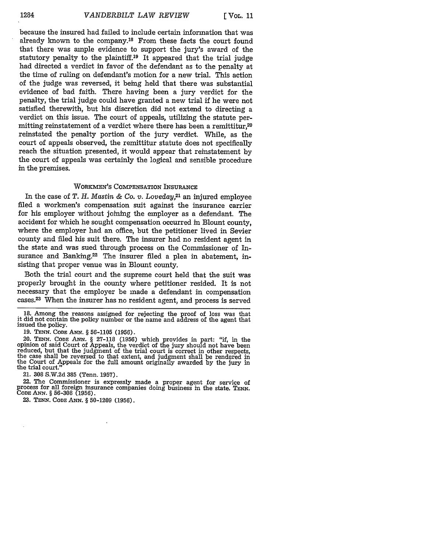because the insured had failed to include certain information that was already known to the company.18 From these facts the court found that there was ample evidence to support the jury's award of the statutory penalty to the plaintiff.19 It appeared that the trial judge had directed a verdict in favor of the defendant as to the penalty at the time of ruling on defendant's motion for a new trial. This action of the judge was reversed, it being held that there was substantial evidence of bad faith. There having been a jury verdict for the penalty, the trial judge could have granted a new trial if he were not satisfied therewith, but his discretion did not extend to directing a verdict on this issue. The court of appeals, utilizing the statute permitting reinstatement of a verdict where there has been a remittitur,<sup>20</sup> reinstated the penalty portion of the jury verdict. While, as the court of appeals observed, the remittitur statute does not specifically reach the situation presented, it would appear that reinstatement by the court of appeals was certainly the logical and sensible procedure in the premises.

## WORKMEN'S COMPENSATION **INSURANCE**

In the case of *T. H. Mastin & Co. v. Loveday,21* an injured employee filed a workmen's compensation suit against the insurance carrier for his employer without joining the employer as a defendant. The accident for which he sought compensation occurred in Blount county, where the employer had an office, but the petitioner lived in Sevier county and filed his suit there. The insurer had no resident agent in the state and was sued through process on the Commissioner of Insurance and Banking.<sup>22</sup> The insurer filed a plea in abatement, insisting that proper venue was in Blount county.

Both the trial court and the supreme court held that the suit was properly brought in the county where petitioner resided. It is not necessary that the employer be made a defendant in compensation cases.<sup>23</sup> When the insurer has no resident agent, and process is served

18. Among the reasons assigned for rejecting the proof of loss was that it did not contain the policy number or the name and address of the agent that issued the policy.

19. TENN. *CODE* ANN. *§* 56-1105 (1956).

20. TENN. **CODE ANN.** § 27-118 (1956) which provides in part: "if, in the reduced, but that the judgment of the trial court is correct in other respects, the case shall be reversed to that extent, and judgment shall be rendered in the Court of Appeals for the full amount originally awarded by th the trial court."

21. **308** S.W.2d 385 (Tenn. 1957).

22. The Commissioner is expressly made a proper agent for service of process for all foreign insurance companies doing business in the state. **TENN. CODE ANN.** *§* 56-308 (1956).

23. **TENN. CODE** ANN. § 50-1209 (1956).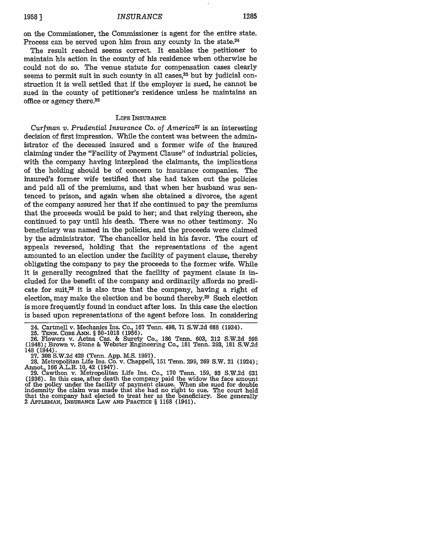# *INSURANCE* **1285 1958 ]**

on the Commissioner, the Commissioner is agent for the entire state. Process can be served upon him from any county in the state.<sup>24</sup>

The result reached seems correct. It enables the petitioner to maintain his action in the county of his residence when otherwise he could not do so. The venue statute for compensation cases clearly seems to permit suit in such county in all cases, $25$  but by judicial construction it is well settled that if the employer is sued, he cannot be sued in the county of petitioner's residence unless he maintains an office or agency there.26

### LIFE INSURANCE

*Curfman v. Prudential Insurance Co. of America27* is an interesting decision of first impression. While the contest was between the administrator of the deceased insured and a former wife of the insured claiming under the "Facility of Payment Clause" of industrial policies, with the company having interplead the claimants, the implications of the holding should be of concern to insurance companies. The insured's former wife testified that she had taken out the policies and paid all of the premiums, and that when her husband was sentenced to prison, and again when she obtained a divorce, the agent of the company assured her that if she continued to pay the premiums that the proceeds would be paid to her; and that relying thereon, she continued to pay until his death. There was no other testimony. No beneficiary was named in the policies, and the proceeds were claimed by the administrator. The chancellor held in his favor. The court of appeals reversed, holding that the representations of the agent amounted to an election under the facility of payment clause, thereby obligating the company to pay the proceeds to the former wife. While it is generally recognized that the facility of payment clause is included for the benefit of the company and ordinarily affords no predicate for suit,28 it is also true that the company, having a right of election, may make the election and be bound thereby.29 Such election is more frequently found in conduct after loss. In this case the election is based upon representations of the agent before loss. In considering

<sup>24.</sup> Cartmell v. Mechanics Ins. Co., 167 Tenn. 498, 71 S.W.2d 688 (1934).

<sup>25.</sup> TENN. CODE ANN. § 50-1018 (1956).<br>26. Flowers v. Aetna Cas. & Surety Co., 186 Tenn. 603, 212 S.W.2d 595<br>(1948); Brown v. Stone & Webster Engineering Co., 181 Tenn. 293, 181 S.W.2d 148 (1944). **27. 308 S.W.2d** 429 (Tenn. **App. M.S. 1957). 28.** Metropolitan Life Ins. Co. v. Chappell, **151** Tenn. 299, **269** S.W. 21 (1924);

Annot., **166** A.L.R. **10,** 42 (1947). **29.** Cawthon v. Metropolitan Life Ins. Co., **170** Tenn. **159, 93 S.W.2d 631**

**<sup>(1936).</sup>** In this case, after death the company paid the widow the face amount of the policy under the facility of payment clause. When she sued for double indemnity the claim was made that she had no right to sue. The court held that the company had elected to treat her as the beneficiary. See generally 2 APPLEMAN, INSURANCE LAW AN PRACTIcE § **1168** (1941).